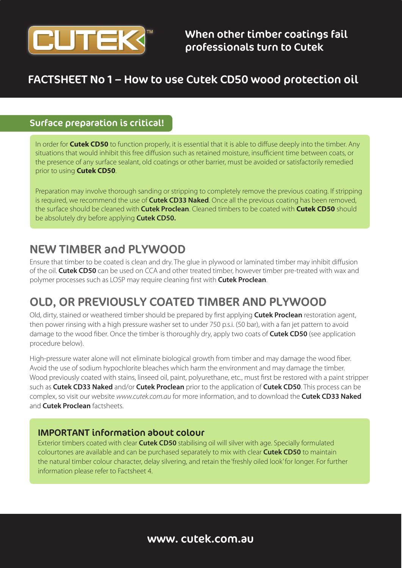

## FACTSHEET No 1 – How to use Cutek CD50 wood protection oil

### Surface preparation is critical!

In order for **Cutek CD50** to function properly, it is essential that it is able to diffuse deeply into the timber. Any situations that would inhibit this free diffusion such as retained moisture, insufficient time between coats, or the presence of any surface sealant, old coatings or other barrier, must be avoided or satisfactorily remedied prior to using **Cutek CD50**.

Preparation may involve thorough sanding or stripping to completely remove the previous coating. If stripping is required, we recommend the use of **Cutek CD33 Naked**. Once all the previous coating has been removed, the surface should be cleaned with **Cutek Proclean**. Cleaned timbers to be coated with **Cutek CD50** should be absolutely dry before applying **Cutek CD50.**

## NEW TIMBER and PLYWOOD

Ensure that timber to be coated is clean and dry. The glue in plywood or laminated timber may inhibit diffusion of the oil. **Cutek CD50** can be used on CCA and other treated timber, however timber pre-treated with wax and polymer processes such as LOSP may require cleaning first with **Cutek Proclean**.

# OLD, OR PREVIOUSLY COATED TIMBER AND PLYWOOD

Old, dirty, stained or weathered timber should be prepared by first applying **Cutek Proclean** restoration agent, then power rinsing with a high pressure washer set to under 750 p.s.i. (50 bar), with a fan jet pattern to avoid damage to the wood fiber. Once the timber is thoroughly dry, apply two coats of **Cutek CD50** (see application procedure below).

High-pressure water alone will not eliminate biological growth from timber and may damage the wood fiber. Avoid the use of sodium hypochlorite bleaches which harm the environment and may damage the timber. Wood previously coated with stains, linseed oil, paint, polyurethane, etc., must first be restored with a paint stripper such as **Cutek CD33 Naked** and/or **Cutek Proclean** prior to the application of **Cutek CD50**. This process can be complex, so visit our website *www.cutek.com.au* for more information, and to download the **Cutek CD33 Naked** and **Cutek Proclean** factsheets.

### IMPORTANT information about colour

Exterior timbers coated with clear **Cutek CD50** stabilising oil will silver with age. Specially formulated colourtones are available and can be purchased separately to mix with clear **Cutek CD50** to maintain the natural timber colour character, delay silvering, and retain the 'freshly oiled look' for longer. For further information please refer to Factsheet 4.